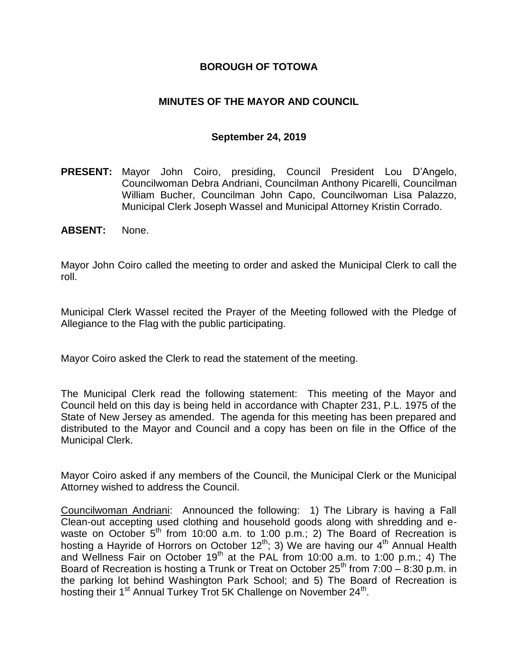## **BOROUGH OF TOTOWA**

## **MINUTES OF THE MAYOR AND COUNCIL**

#### **September 24, 2019**

- **PRESENT:** Mayor John Coiro, presiding, Council President Lou D'Angelo, Councilwoman Debra Andriani, Councilman Anthony Picarelli, Councilman William Bucher, Councilman John Capo, Councilwoman Lisa Palazzo, Municipal Clerk Joseph Wassel and Municipal Attorney Kristin Corrado.
- **ABSENT:** None.

Mayor John Coiro called the meeting to order and asked the Municipal Clerk to call the roll.

Municipal Clerk Wassel recited the Prayer of the Meeting followed with the Pledge of Allegiance to the Flag with the public participating.

Mayor Coiro asked the Clerk to read the statement of the meeting.

The Municipal Clerk read the following statement: This meeting of the Mayor and Council held on this day is being held in accordance with Chapter 231, P.L. 1975 of the State of New Jersey as amended. The agenda for this meeting has been prepared and distributed to the Mayor and Council and a copy has been on file in the Office of the Municipal Clerk.

Mayor Coiro asked if any members of the Council, the Municipal Clerk or the Municipal Attorney wished to address the Council.

Councilwoman Andriani: Announced the following: 1) The Library is having a Fall Clean-out accepting used clothing and household goods along with shredding and ewaste on October 5<sup>th</sup> from 10:00 a.m. to 1:00 p.m.; 2) The Board of Recreation is hosting a Hayride of Horrors on October 12<sup>th</sup>; 3) We are having our  $4<sup>th</sup>$  Annual Health and Wellness Fair on October 19<sup>th</sup> at the PAL from 10:00 a.m. to 1:00 p.m.; 4) The Board of Recreation is hosting a Trunk or Treat on October  $25^{th}$  from 7:00 – 8:30 p.m. in the parking lot behind Washington Park School; and 5) The Board of Recreation is hosting their 1<sup>st</sup> Annual Turkey Trot 5K Challenge on November 24<sup>th</sup>.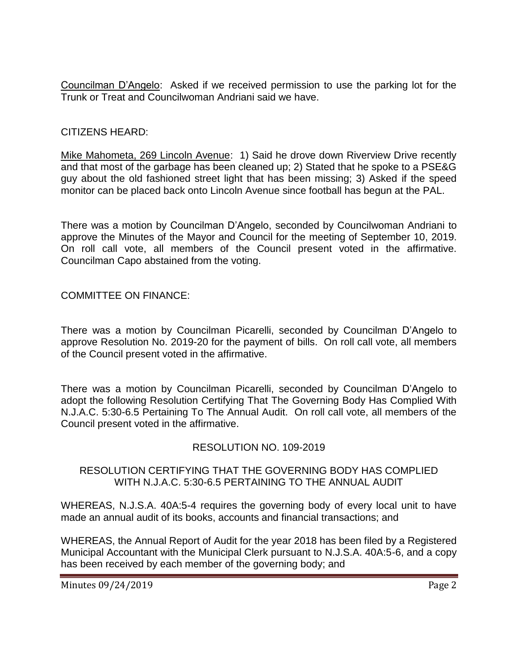Councilman D'Angelo: Asked if we received permission to use the parking lot for the Trunk or Treat and Councilwoman Andriani said we have.

## CITIZENS HEARD:

Mike Mahometa, 269 Lincoln Avenue: 1) Said he drove down Riverview Drive recently and that most of the garbage has been cleaned up; 2) Stated that he spoke to a PSE&G guy about the old fashioned street light that has been missing; 3) Asked if the speed monitor can be placed back onto Lincoln Avenue since football has begun at the PAL.

There was a motion by Councilman D'Angelo, seconded by Councilwoman Andriani to approve the Minutes of the Mayor and Council for the meeting of September 10, 2019. On roll call vote, all members of the Council present voted in the affirmative. Councilman Capo abstained from the voting.

COMMITTEE ON FINANCE:

There was a motion by Councilman Picarelli, seconded by Councilman D'Angelo to approve Resolution No. 2019-20 for the payment of bills. On roll call vote, all members of the Council present voted in the affirmative.

There was a motion by Councilman Picarelli, seconded by Councilman D'Angelo to adopt the following Resolution Certifying That The Governing Body Has Complied With N.J.A.C. 5:30-6.5 Pertaining To The Annual Audit. On roll call vote, all members of the Council present voted in the affirmative.

# RESOLUTION NO. 109-2019

## RESOLUTION CERTIFYING THAT THE GOVERNING BODY HAS COMPLIED WITH N.J.A.C. 5:30-6.5 PERTAINING TO THE ANNUAL AUDIT

WHEREAS, N.J.S.A. 40A:5-4 requires the governing body of every local unit to have made an annual audit of its books, accounts and financial transactions; and

WHEREAS, the Annual Report of Audit for the year 2018 has been filed by a Registered Municipal Accountant with the Municipal Clerk pursuant to N.J.S.A. 40A:5-6, and a copy has been received by each member of the governing body; and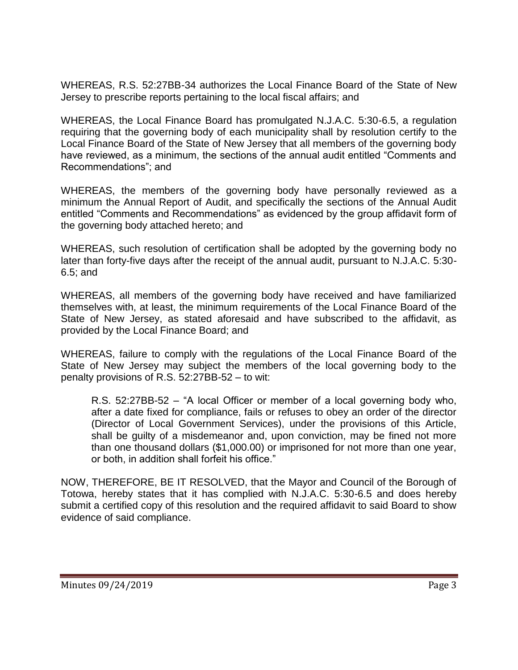WHEREAS, R.S. 52:27BB-34 authorizes the Local Finance Board of the State of New Jersey to prescribe reports pertaining to the local fiscal affairs; and

WHEREAS, the Local Finance Board has promulgated N.J.A.C. 5:30-6.5, a regulation requiring that the governing body of each municipality shall by resolution certify to the Local Finance Board of the State of New Jersey that all members of the governing body have reviewed, as a minimum, the sections of the annual audit entitled "Comments and Recommendations"; and

WHEREAS, the members of the governing body have personally reviewed as a minimum the Annual Report of Audit, and specifically the sections of the Annual Audit entitled "Comments and Recommendations" as evidenced by the group affidavit form of the governing body attached hereto; and

WHEREAS, such resolution of certification shall be adopted by the governing body no later than forty-five days after the receipt of the annual audit, pursuant to N.J.A.C. 5:30- 6.5; and

WHEREAS, all members of the governing body have received and have familiarized themselves with, at least, the minimum requirements of the Local Finance Board of the State of New Jersey, as stated aforesaid and have subscribed to the affidavit, as provided by the Local Finance Board; and

WHEREAS, failure to comply with the regulations of the Local Finance Board of the State of New Jersey may subject the members of the local governing body to the penalty provisions of R.S. 52:27BB-52 – to wit:

R.S. 52:27BB-52 – "A local Officer or member of a local governing body who, after a date fixed for compliance, fails or refuses to obey an order of the director (Director of Local Government Services), under the provisions of this Article, shall be guilty of a misdemeanor and, upon conviction, may be fined not more than one thousand dollars (\$1,000.00) or imprisoned for not more than one year, or both, in addition shall forfeit his office."

NOW, THEREFORE, BE IT RESOLVED, that the Mayor and Council of the Borough of Totowa, hereby states that it has complied with N.J.A.C. 5:30-6.5 and does hereby submit a certified copy of this resolution and the required affidavit to said Board to show evidence of said compliance.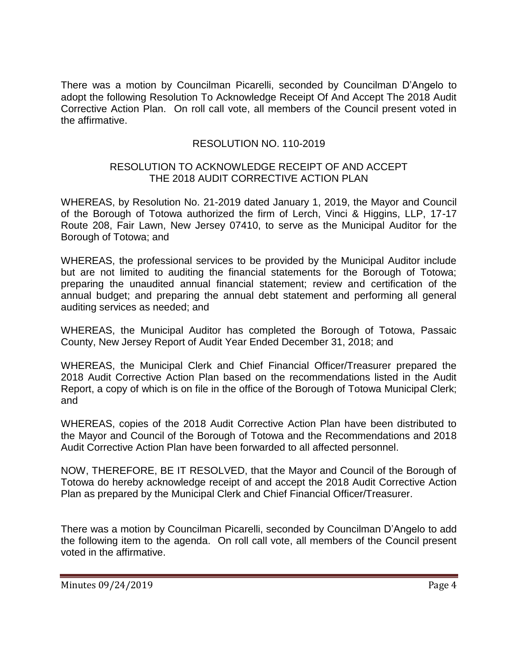There was a motion by Councilman Picarelli, seconded by Councilman D'Angelo to adopt the following Resolution To Acknowledge Receipt Of And Accept The 2018 Audit Corrective Action Plan. On roll call vote, all members of the Council present voted in the affirmative.

# RESOLUTION NO. 110-2019

### RESOLUTION TO ACKNOWLEDGE RECEIPT OF AND ACCEPT THE 2018 AUDIT CORRECTIVE ACTION PLAN

WHEREAS, by Resolution No. 21-2019 dated January 1, 2019, the Mayor and Council of the Borough of Totowa authorized the firm of Lerch, Vinci & Higgins, LLP, 17-17 Route 208, Fair Lawn, New Jersey 07410, to serve as the Municipal Auditor for the Borough of Totowa; and

WHEREAS, the professional services to be provided by the Municipal Auditor include but are not limited to auditing the financial statements for the Borough of Totowa; preparing the unaudited annual financial statement; review and certification of the annual budget; and preparing the annual debt statement and performing all general auditing services as needed; and

WHEREAS, the Municipal Auditor has completed the Borough of Totowa, Passaic County, New Jersey Report of Audit Year Ended December 31, 2018; and

WHEREAS, the Municipal Clerk and Chief Financial Officer/Treasurer prepared the 2018 Audit Corrective Action Plan based on the recommendations listed in the Audit Report, a copy of which is on file in the office of the Borough of Totowa Municipal Clerk; and

WHEREAS, copies of the 2018 Audit Corrective Action Plan have been distributed to the Mayor and Council of the Borough of Totowa and the Recommendations and 2018 Audit Corrective Action Plan have been forwarded to all affected personnel.

NOW, THEREFORE, BE IT RESOLVED, that the Mayor and Council of the Borough of Totowa do hereby acknowledge receipt of and accept the 2018 Audit Corrective Action Plan as prepared by the Municipal Clerk and Chief Financial Officer/Treasurer.

There was a motion by Councilman Picarelli, seconded by Councilman D'Angelo to add the following item to the agenda. On roll call vote, all members of the Council present voted in the affirmative.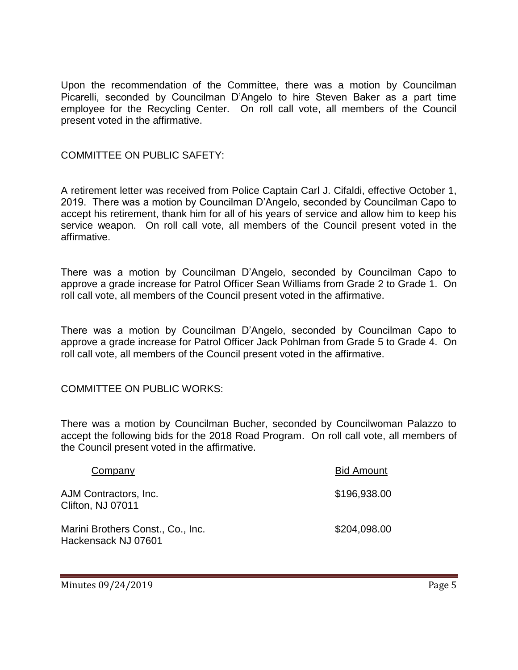Upon the recommendation of the Committee, there was a motion by Councilman Picarelli, seconded by Councilman D'Angelo to hire Steven Baker as a part time employee for the Recycling Center. On roll call vote, all members of the Council present voted in the affirmative.

## COMMITTEE ON PUBLIC SAFETY:

A retirement letter was received from Police Captain Carl J. Cifaldi, effective October 1, 2019. There was a motion by Councilman D'Angelo, seconded by Councilman Capo to accept his retirement, thank him for all of his years of service and allow him to keep his service weapon. On roll call vote, all members of the Council present voted in the affirmative.

There was a motion by Councilman D'Angelo, seconded by Councilman Capo to approve a grade increase for Patrol Officer Sean Williams from Grade 2 to Grade 1. On roll call vote, all members of the Council present voted in the affirmative.

There was a motion by Councilman D'Angelo, seconded by Councilman Capo to approve a grade increase for Patrol Officer Jack Pohlman from Grade 5 to Grade 4. On roll call vote, all members of the Council present voted in the affirmative.

### COMMITTEE ON PUBLIC WORKS:

There was a motion by Councilman Bucher, seconded by Councilwoman Palazzo to accept the following bids for the 2018 Road Program. On roll call vote, all members of the Council present voted in the affirmative.

| Company                                                  | <b>Bid Amount</b> |
|----------------------------------------------------------|-------------------|
| AJM Contractors, Inc.<br>Clifton, NJ 07011               | \$196,938.00      |
| Marini Brothers Const., Co., Inc.<br>Hackensack NJ 07601 | \$204,098.00      |

Minutes 09/24/2019 **Page 5**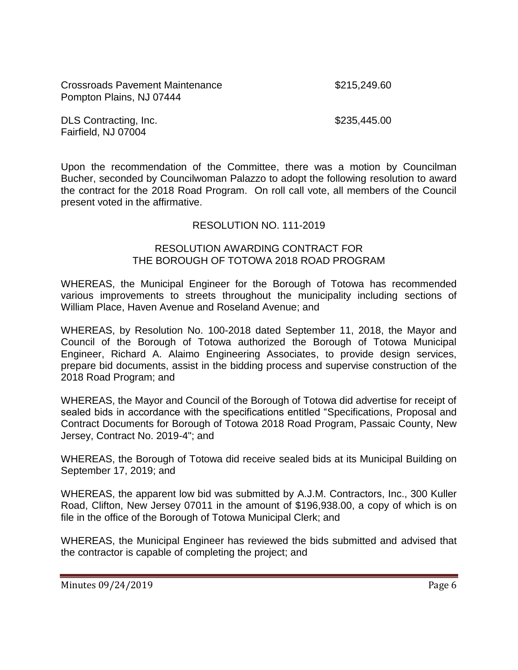Crossroads Pavement Maintenance \$215,249.60 Pompton Plains, NJ 07444

DLS Contracting, Inc. 6235,445.00 Fairfield, NJ 07004

Upon the recommendation of the Committee, there was a motion by Councilman Bucher, seconded by Councilwoman Palazzo to adopt the following resolution to award the contract for the 2018 Road Program. On roll call vote, all members of the Council present voted in the affirmative.

# RESOLUTION NO. 111-2019

#### RESOLUTION AWARDING CONTRACT FOR THE BOROUGH OF TOTOWA 2018 ROAD PROGRAM

WHEREAS, the Municipal Engineer for the Borough of Totowa has recommended various improvements to streets throughout the municipality including sections of William Place, Haven Avenue and Roseland Avenue; and

WHEREAS, by Resolution No. 100-2018 dated September 11, 2018, the Mayor and Council of the Borough of Totowa authorized the Borough of Totowa Municipal Engineer, Richard A. Alaimo Engineering Associates, to provide design services, prepare bid documents, assist in the bidding process and supervise construction of the 2018 Road Program; and

WHEREAS, the Mayor and Council of the Borough of Totowa did advertise for receipt of sealed bids in accordance with the specifications entitled "Specifications, Proposal and Contract Documents for Borough of Totowa 2018 Road Program, Passaic County, New Jersey, Contract No. 2019-4"; and

WHEREAS, the Borough of Totowa did receive sealed bids at its Municipal Building on September 17, 2019; and

WHEREAS, the apparent low bid was submitted by A.J.M. Contractors, Inc., 300 Kuller Road, Clifton, New Jersey 07011 in the amount of \$196,938.00, a copy of which is on file in the office of the Borough of Totowa Municipal Clerk; and

WHEREAS, the Municipal Engineer has reviewed the bids submitted and advised that the contractor is capable of completing the project; and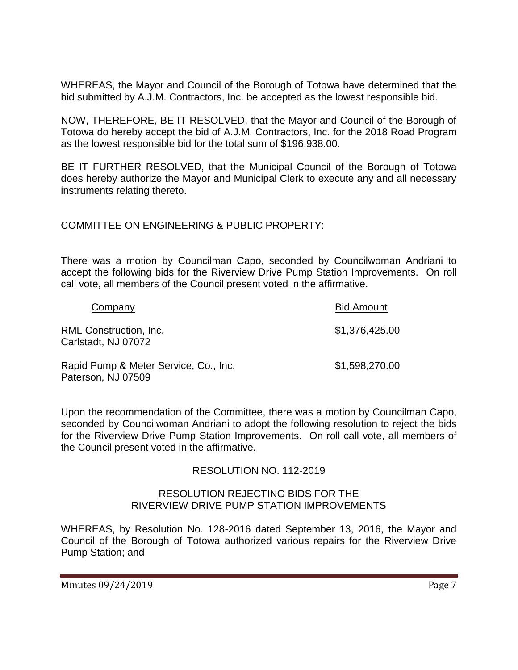WHEREAS, the Mayor and Council of the Borough of Totowa have determined that the bid submitted by A.J.M. Contractors, Inc. be accepted as the lowest responsible bid.

NOW, THEREFORE, BE IT RESOLVED, that the Mayor and Council of the Borough of Totowa do hereby accept the bid of A.J.M. Contractors, Inc. for the 2018 Road Program as the lowest responsible bid for the total sum of \$196,938.00.

BE IT FURTHER RESOLVED, that the Municipal Council of the Borough of Totowa does hereby authorize the Mayor and Municipal Clerk to execute any and all necessary instruments relating thereto.

COMMITTEE ON ENGINEERING & PUBLIC PROPERTY:

There was a motion by Councilman Capo, seconded by Councilwoman Andriani to accept the following bids for the Riverview Drive Pump Station Improvements. On roll call vote, all members of the Council present voted in the affirmative.

| Company                                                     | <b>Bid Amount</b> |
|-------------------------------------------------------------|-------------------|
| RML Construction, Inc.<br>Carlstadt, NJ 07072               | \$1,376,425.00    |
| Rapid Pump & Meter Service, Co., Inc.<br>Paterson, NJ 07509 | \$1,598,270.00    |

Upon the recommendation of the Committee, there was a motion by Councilman Capo, seconded by Councilwoman Andriani to adopt the following resolution to reject the bids for the Riverview Drive Pump Station Improvements. On roll call vote, all members of the Council present voted in the affirmative.

# RESOLUTION NO. 112-2019

### RESOLUTION REJECTING BIDS FOR THE RIVERVIEW DRIVE PUMP STATION IMPROVEMENTS

WHEREAS, by Resolution No. 128-2016 dated September 13, 2016, the Mayor and Council of the Borough of Totowa authorized various repairs for the Riverview Drive Pump Station; and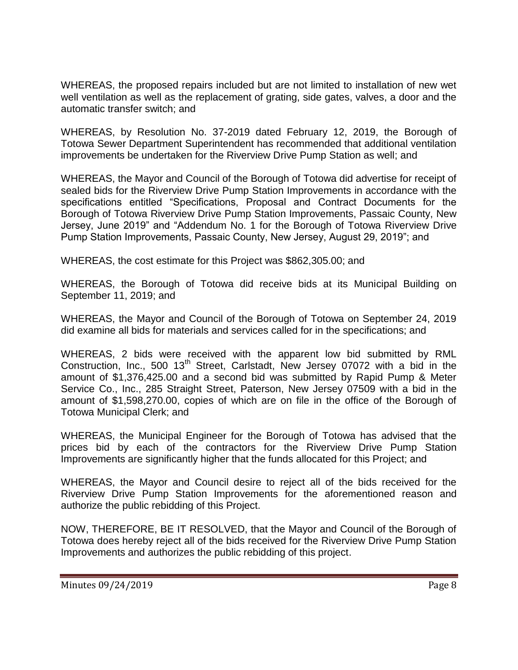WHEREAS, the proposed repairs included but are not limited to installation of new wet well ventilation as well as the replacement of grating, side gates, valves, a door and the automatic transfer switch; and

WHEREAS, by Resolution No. 37-2019 dated February 12, 2019, the Borough of Totowa Sewer Department Superintendent has recommended that additional ventilation improvements be undertaken for the Riverview Drive Pump Station as well; and

WHEREAS, the Mayor and Council of the Borough of Totowa did advertise for receipt of sealed bids for the Riverview Drive Pump Station Improvements in accordance with the specifications entitled "Specifications, Proposal and Contract Documents for the Borough of Totowa Riverview Drive Pump Station Improvements, Passaic County, New Jersey, June 2019" and "Addendum No. 1 for the Borough of Totowa Riverview Drive Pump Station Improvements, Passaic County, New Jersey, August 29, 2019"; and

WHEREAS, the cost estimate for this Project was \$862,305.00; and

WHEREAS, the Borough of Totowa did receive bids at its Municipal Building on September 11, 2019; and

WHEREAS, the Mayor and Council of the Borough of Totowa on September 24, 2019 did examine all bids for materials and services called for in the specifications; and

WHEREAS, 2 bids were received with the apparent low bid submitted by RML Construction, Inc., 500 13<sup>th</sup> Street, Carlstadt, New Jersey 07072 with a bid in the amount of \$1,376,425.00 and a second bid was submitted by Rapid Pump & Meter Service Co., Inc., 285 Straight Street, Paterson, New Jersey 07509 with a bid in the amount of \$1,598,270.00, copies of which are on file in the office of the Borough of Totowa Municipal Clerk; and

WHEREAS, the Municipal Engineer for the Borough of Totowa has advised that the prices bid by each of the contractors for the Riverview Drive Pump Station Improvements are significantly higher that the funds allocated for this Project; and

WHEREAS, the Mayor and Council desire to reject all of the bids received for the Riverview Drive Pump Station Improvements for the aforementioned reason and authorize the public rebidding of this Project.

NOW, THEREFORE, BE IT RESOLVED, that the Mayor and Council of the Borough of Totowa does hereby reject all of the bids received for the Riverview Drive Pump Station Improvements and authorizes the public rebidding of this project.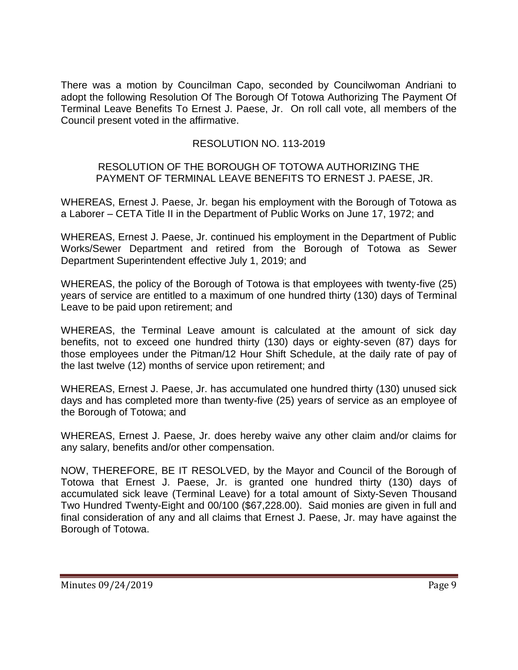There was a motion by Councilman Capo, seconded by Councilwoman Andriani to adopt the following Resolution Of The Borough Of Totowa Authorizing The Payment Of Terminal Leave Benefits To Ernest J. Paese, Jr. On roll call vote, all members of the Council present voted in the affirmative.

# RESOLUTION NO. 113-2019

#### RESOLUTION OF THE BOROUGH OF TOTOWA AUTHORIZING THE PAYMENT OF TERMINAL LEAVE BENEFITS TO ERNEST J. PAESE, JR.

WHEREAS, Ernest J. Paese, Jr. began his employment with the Borough of Totowa as a Laborer – CETA Title II in the Department of Public Works on June 17, 1972; and

WHEREAS, Ernest J. Paese, Jr. continued his employment in the Department of Public Works/Sewer Department and retired from the Borough of Totowa as Sewer Department Superintendent effective July 1, 2019; and

WHEREAS, the policy of the Borough of Totowa is that employees with twenty-five (25) years of service are entitled to a maximum of one hundred thirty (130) days of Terminal Leave to be paid upon retirement; and

WHEREAS, the Terminal Leave amount is calculated at the amount of sick day benefits, not to exceed one hundred thirty (130) days or eighty-seven (87) days for those employees under the Pitman/12 Hour Shift Schedule, at the daily rate of pay of the last twelve (12) months of service upon retirement; and

WHEREAS, Ernest J. Paese, Jr. has accumulated one hundred thirty (130) unused sick days and has completed more than twenty-five (25) years of service as an employee of the Borough of Totowa; and

WHEREAS, Ernest J. Paese, Jr. does hereby waive any other claim and/or claims for any salary, benefits and/or other compensation.

NOW, THEREFORE, BE IT RESOLVED, by the Mayor and Council of the Borough of Totowa that Ernest J. Paese, Jr. is granted one hundred thirty (130) days of accumulated sick leave (Terminal Leave) for a total amount of Sixty-Seven Thousand Two Hundred Twenty-Eight and 00/100 (\$67,228.00). Said monies are given in full and final consideration of any and all claims that Ernest J. Paese, Jr. may have against the Borough of Totowa.